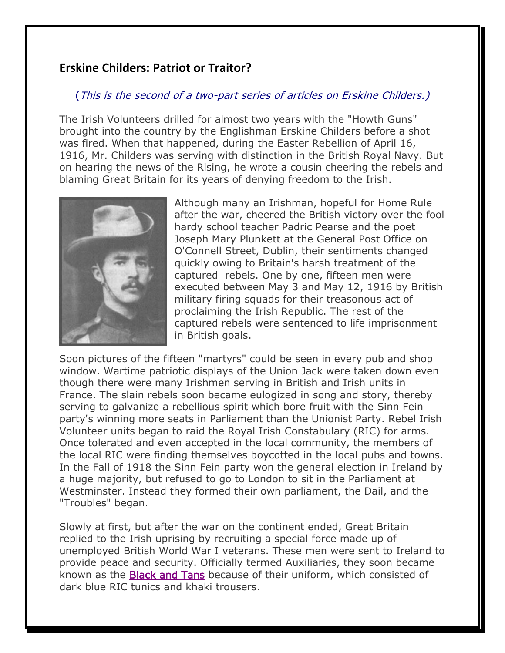## **Erskine Childers: Patriot or Traitor?**

## (This is the second of a two-part series of articles on Erskine Childers.)

The Irish Volunteers drilled for almost two years with the "Howth Guns" brought into the country by the Englishman Erskine Childers before a shot was fired. When that happened, during the Easter Rebellion of April 16, 1916, Mr. Childers was serving with distinction in the British Royal Navy. But on hearing the news of the Rising, he wrote a cousin cheering the rebels and blaming Great Britain for its years of denying freedom to the Irish.



Although many an Irishman, hopeful for Home Rule after the war, cheered the British victory over the fool hardy school teacher Padric Pearse and the poet Joseph Mary Plunkett at the General Post Office on O'Connell Street, Dublin, their sentiments changed quickly owing to Britain's harsh treatment of the captured rebels. One by one, fifteen men were executed between May 3 and May 12, 1916 by British military firing squads for their treasonous act of proclaiming the Irish Republic. The rest of the captured rebels were sentenced to life imprisonment in British goals.

Soon pictures of the fifteen "martyrs" could be seen in every pub and shop window. Wartime patriotic displays of the Union Jack were taken down even though there were many Irishmen serving in British and Irish units in France. The slain rebels soon became eulogized in song and story, thereby serving to galvanize a rebellious spirit which bore fruit with the Sinn Fein party's winning more seats in Parliament than the Unionist Party. Rebel Irish Volunteer units began to raid the Royal Irish Constabulary (RIC) for arms. Once tolerated and even accepted in the local community, the members of the local RIC were finding themselves boycotted in the local pubs and towns. In the Fall of 1918 the Sinn Fein party won the general election in Ireland by a huge majority, but refused to go to London to sit in the Parliament at Westminster. Instead they formed their own parliament, the Dail, and the "Troubles" began.

Slowly at first, but after the war on the continent ended, Great Britain replied to the Irish uprising by recruiting a special force made up of unemployed British World War I veterans. These men were sent to Ireland to provide peace and security. Officially termed Auxiliaries, they soon became known as the [Black and Tans](http://www.google.com/url?q=http%3A%2F%2Fwww.irish-society.org%2FHedgemaster%2520Archives%2Fblack-tans.htm&sa=D&sntz=1&usg=AFQjCNHUxszLxonXvas66KFopJZC4M0bxg) because of their uniform, which consisted of dark blue RIC tunics and khaki trousers.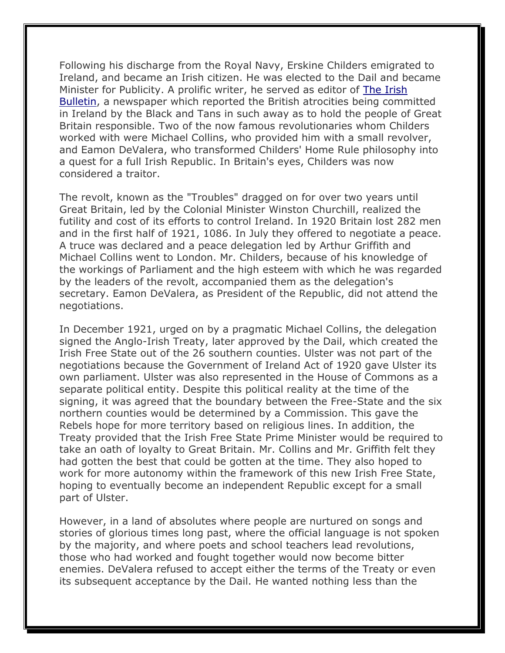Following his discharge from the Royal Navy, Erskine Childers emigrated to Ireland, and became an Irish citizen. He was elected to the Dail and became Minister for Publicity. A prolific writer, he served as editor of The Irish Bulletin, a newspaper which reported the British atrocities being committed in Ireland by the Black and Tans in such away as to hold the people of Great Britain responsible. Two of the now famous revolutionaries whom Childers worked with were Michael Collins, who provided him with a small revolver, and Eamon DeValera, who transformed Childers' Home Rule philosophy into a quest for a full Irish Republic. In Britain's eyes, Childers was now considered a traitor.

The revolt, known as the "Troubles" dragged on for over two years until Great Britain, led by the Colonial Minister Winston Churchill, realized the futility and cost of its efforts to control Ireland. In 1920 Britain lost 282 men and in the first half of 1921, 1086. In July they offered to negotiate a peace. A truce was declared and a peace delegation led by Arthur Griffith and Michael Collins went to London. Mr. Childers, because of his knowledge of the workings of Parliament and the high esteem with which he was regarded by the leaders of the revolt, accompanied them as the delegation's secretary. Eamon DeValera, as President of the Republic, did not attend the negotiations.

In December 1921, urged on by a pragmatic Michael Collins, the delegation signed the Anglo-Irish Treaty, later approved by the Dail, which created the Irish Free State out of the 26 southern counties. Ulster was not part of the negotiations because the Government of Ireland Act of 1920 gave Ulster its own parliament. Ulster was also represented in the House of Commons as a separate political entity. Despite this political reality at the time of the signing, it was agreed that the boundary between the Free-State and the six northern counties would be determined by a Commission. This gave the Rebels hope for more territory based on religious lines. In addition, the Treaty provided that the Irish Free State Prime Minister would be required to take an oath of loyalty to Great Britain. Mr. Collins and Mr. Griffith felt they had gotten the best that could be gotten at the time. They also hoped to work for more autonomy within the framework of this new Irish Free State, hoping to eventually become an independent Republic except for a small part of Ulster.

However, in a land of absolutes where people are nurtured on songs and stories of glorious times long past, where the official language is not spoken by the majority, and where poets and school teachers lead revolutions, those who had worked and fought together would now become bitter enemies. DeValera refused to accept either the terms of the Treaty or even its subsequent acceptance by the Dail. He wanted nothing less than the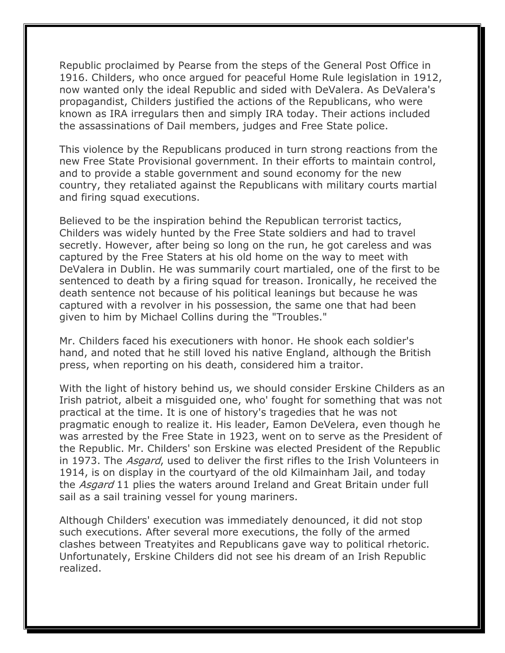Republic proclaimed by Pearse from the steps of the General Post Office in 1916. Childers, who once argued for peaceful Home Rule legislation in 1912, now wanted only the ideal Republic and sided with DeValera. As DeValera's propagandist, Childers justified the actions of the Republicans, who were known as IRA irregulars then and simply IRA today. Their actions included the assassinations of Dail members, judges and Free State police.

This violence by the Republicans produced in turn strong reactions from the new Free State Provisional government. In their efforts to maintain control, and to provide a stable government and sound economy for the new country, they retaliated against the Republicans with military courts martial and firing squad executions.

Believed to be the inspiration behind the Republican terrorist tactics, Childers was widely hunted by the Free State soldiers and had to travel secretly. However, after being so long on the run, he got careless and was captured by the Free Staters at his old home on the way to meet with DeValera in Dublin. He was summarily court martialed, one of the first to be sentenced to death by a firing squad for treason. Ironically, he received the death sentence not because of his political leanings but because he was captured with a revolver in his possession, the same one that had been given to him by Michael Collins during the "Troubles."

Mr. Childers faced his executioners with honor. He shook each soldier's hand, and noted that he still loved his native England, although the British press, when reporting on his death, considered him a traitor.

With the light of history behind us, we should consider Erskine Childers as an Irish patriot, albeit a misguided one, who' fought for something that was not practical at the time. It is one of history's tragedies that he was not pragmatic enough to realize it. His leader, Eamon DeVelera, even though he was arrested by the Free State in 1923, went on to serve as the President of the Republic. Mr. Childers' son Erskine was elected President of the Republic in 1973. The *Asgard*, used to deliver the first rifles to the Irish Volunteers in 1914, is on display in the courtyard of the old Kilmainham Jail, and today the *Asgard* 11 plies the waters around Ireland and Great Britain under full sail as a sail training vessel for young mariners.

Although Childers' execution was immediately denounced, it did not stop such executions. After several more executions, the folly of the armed clashes between Treatyites and Republicans gave way to political rhetoric. Unfortunately, Erskine Childers did not see his dream of an Irish Republic realized.